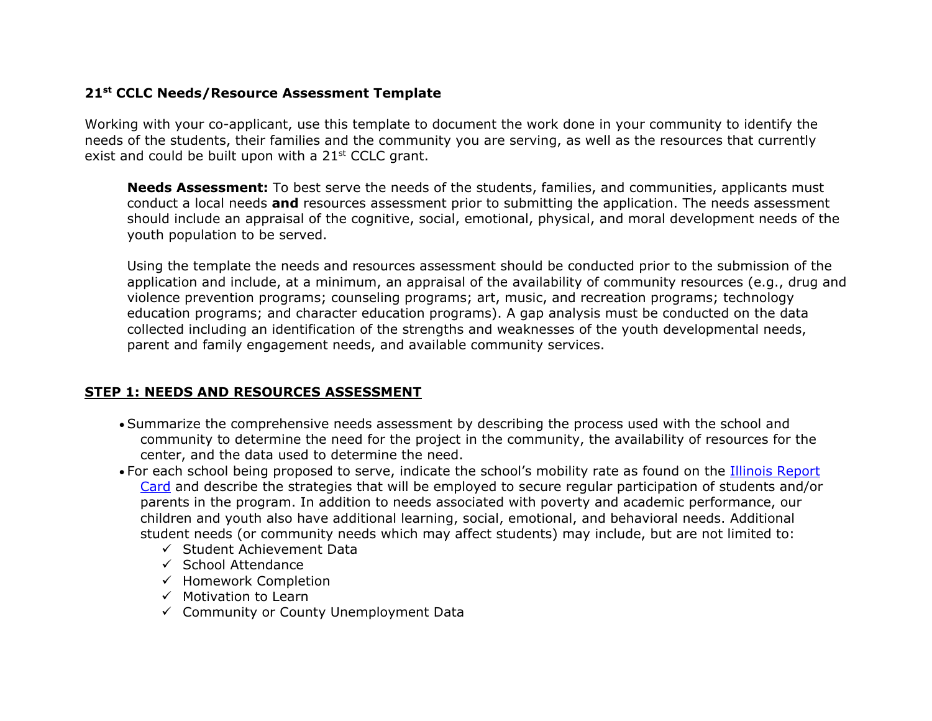### **21st CCLC Needs/Resource Assessment Template**

Working with your co-applicant, use this template to document the work done in your community to identify the needs of the students, their families and the community you are serving, as well as the resources that currently exist and could be built upon with a  $21<sup>st</sup>$  CCLC grant.

**Needs Assessment:** To best serve the needs of the students, families, and communities, applicants must conduct a local needs **and** resources assessment prior to submitting the application. The needs assessment should include an appraisal of the cognitive, social, emotional, physical, and moral development needs of the youth population to be served.

Using the template the needs and resources assessment should be conducted prior to the submission of the application and include, at a minimum, an appraisal of the availability of community resources (e.g., drug and violence prevention programs; counseling programs; art, music, and recreation programs; technology education programs; and character education programs). A gap analysis must be conducted on the data collected including an identification of the strengths and weaknesses of the youth developmental needs, parent and family engagement needs, and available community services.

### **STEP 1: NEEDS AND RESOURCES ASSESSMENT**

- Summarize the comprehensive needs assessment by describing the process used with the school and community to determine the need for the project in the community, the availability of resources for the center, and the data used to determine the need.
- For each school being proposed to serve, indicate the school's mobility rate as found on the [Illinois Report](https://www.illinoisreportcard.com/)  [Card](https://www.illinoisreportcard.com/) and describe the strategies that will be employed to secure regular participation of students and/or parents in the program. In addition to needs associated with poverty and academic performance, our children and youth also have additional learning, social, emotional, and behavioral needs. Additional student needs (or community needs which may affect students) may include, but are not limited to:
	- $\checkmark$  Student Achievement Data
	- $\checkmark$  School Attendance
	- $\checkmark$  Homework Completion
	- $\checkmark$  Motivation to Learn
	- $\checkmark$  Community or County Unemployment Data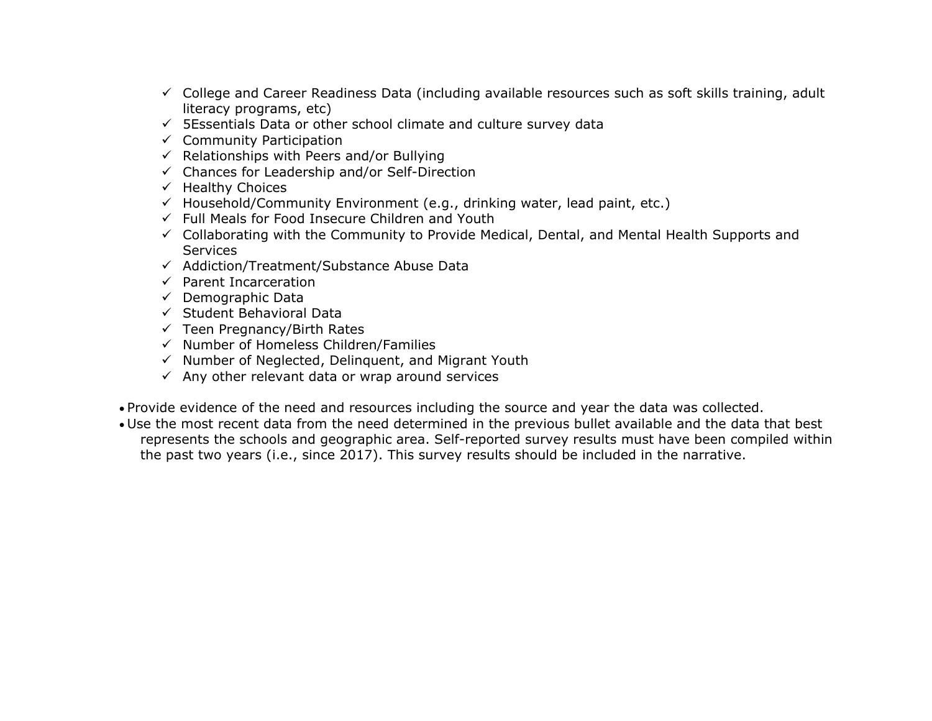- $\checkmark$  College and Career Readiness Data (including available resources such as soft skills training, adult literacy programs, etc)
- $\checkmark$  5Essentials Data or other school climate and culture survey data
- $\checkmark$  Community Participation
- $\checkmark$  Relationships with Peers and/or Bullying
- $\checkmark$  Chances for Leadership and/or Self-Direction
- $\checkmark$  Healthy Choices
- $\checkmark$  Household/Community Environment (e.g., drinking water, lead paint, etc.)
- $\checkmark$  Full Meals for Food Insecure Children and Youth
- $\checkmark$  Collaborating with the Community to Provide Medical, Dental, and Mental Health Supports and **Services**
- $\checkmark$  Addiction/Treatment/Substance Abuse Data
- $\checkmark$  Parent Incarceration
- $\checkmark$  Demographic Data
- $\checkmark$  Student Behavioral Data
- $\checkmark$  Teen Pregnancy/Birth Rates
- $\checkmark$  Number of Homeless Children/Families
- $\checkmark$  Number of Neglected, Delinguent, and Migrant Youth
- $\checkmark$  Any other relevant data or wrap around services
- Provide evidence of the need and resources including the source and year the data was collected.
- Use the most recent data from the need determined in the previous bullet available and the data that best represents the schools and geographic area. Self-reported survey results must have been compiled within the past two years (i.e., since 2017). This survey results should be included in the narrative.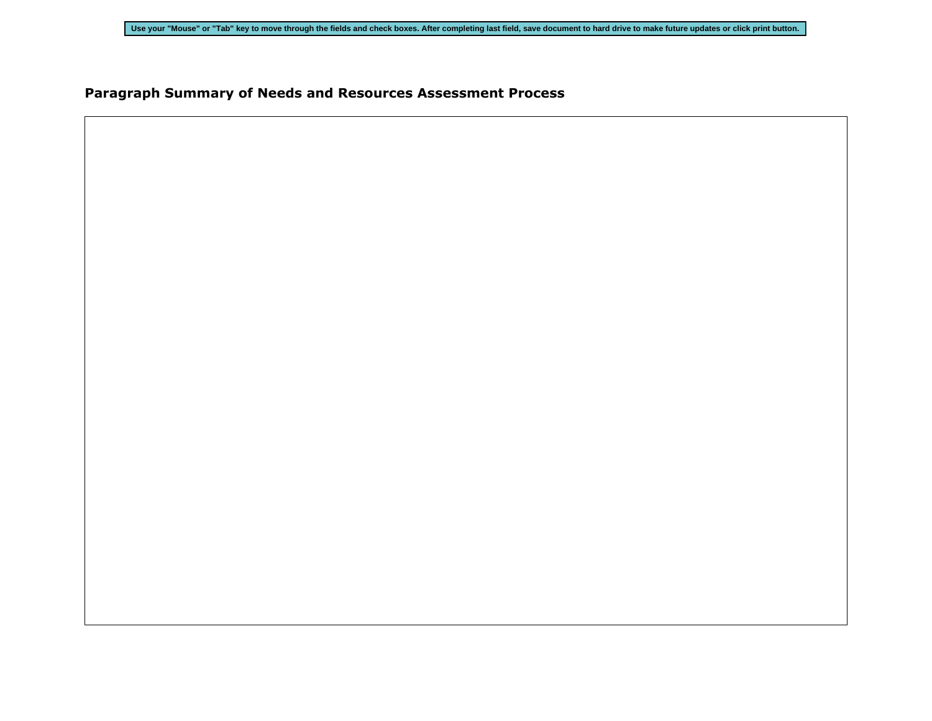## **Paragraph Summary of Needs and Resources Assessment Process**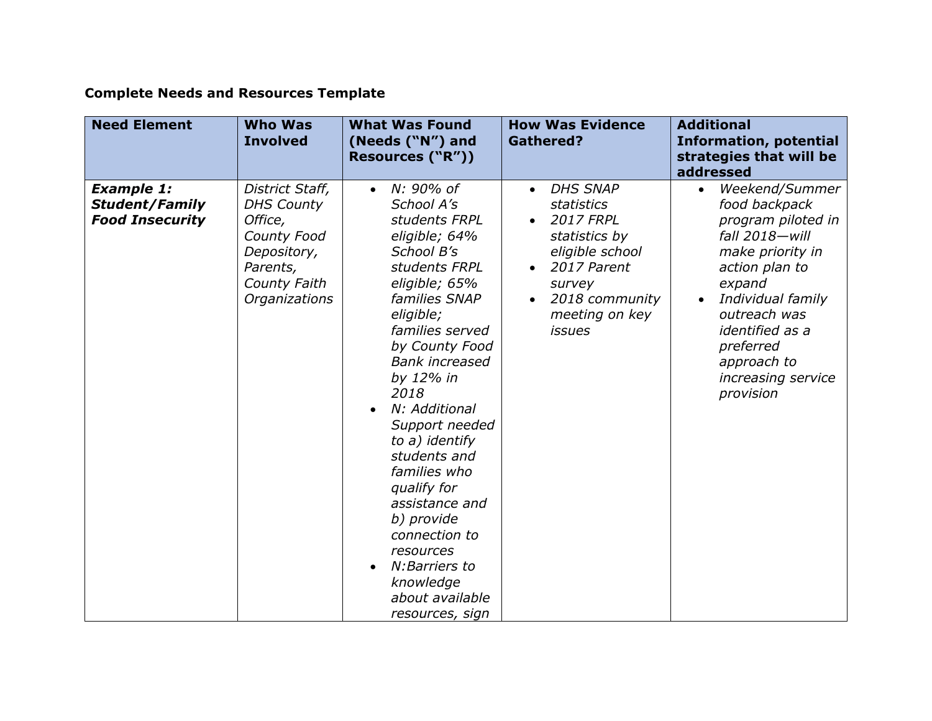# **Complete Needs and Resources Template**

| <b>Need Element</b>                                                  | <b>Who Was</b><br><b>Involved</b>                                                                                          | <b>What Was Found</b><br>(Needs ("N") and<br>Resources ("R"))                                                                                                                                                                                                                                                                                                                                                                                                                                            | <b>How Was Evidence</b><br><b>Gathered?</b>                                                                                                                                                          | <b>Additional</b><br><b>Information, potential</b><br>strategies that will be<br>addressed                                                                                                                                                                  |
|----------------------------------------------------------------------|----------------------------------------------------------------------------------------------------------------------------|----------------------------------------------------------------------------------------------------------------------------------------------------------------------------------------------------------------------------------------------------------------------------------------------------------------------------------------------------------------------------------------------------------------------------------------------------------------------------------------------------------|------------------------------------------------------------------------------------------------------------------------------------------------------------------------------------------------------|-------------------------------------------------------------------------------------------------------------------------------------------------------------------------------------------------------------------------------------------------------------|
| <b>Example 1:</b><br><b>Student/Family</b><br><b>Food Insecurity</b> | District Staff,<br><b>DHS County</b><br>Office,<br>County Food<br>Depository,<br>Parents,<br>County Faith<br>Organizations | N: 90% of<br>$\bullet$<br>School A's<br>students FRPL<br>eligible; 64%<br>School B's<br>students FRPL<br>eligible; 65%<br>families SNAP<br>eligible;<br>families served<br>by County Food<br><b>Bank increased</b><br>by 12% in<br>2018<br>N: Additional<br>$\bullet$<br>Support needed<br>to a) identify<br>students and<br>families who<br>qualify for<br>assistance and<br>b) provide<br>connection to<br>resources<br>N: Barriers to<br>$\bullet$<br>knowledge<br>about available<br>resources, sign | <b>DHS SNAP</b><br>$\bullet$<br><b>statistics</b><br><b>2017 FRPL</b><br>$\bullet$<br>statistics by<br>eligible school<br>2017 Parent<br>survey<br>2018 community<br>meeting on key<br><i>issues</i> | Weekend/Summer<br>food backpack<br>program piloted in<br>fall 2018-will<br>make priority in<br>action plan to<br>expand<br>Individual family<br>$\bullet$<br>outreach was<br>identified as a<br>preferred<br>approach to<br>increasing service<br>provision |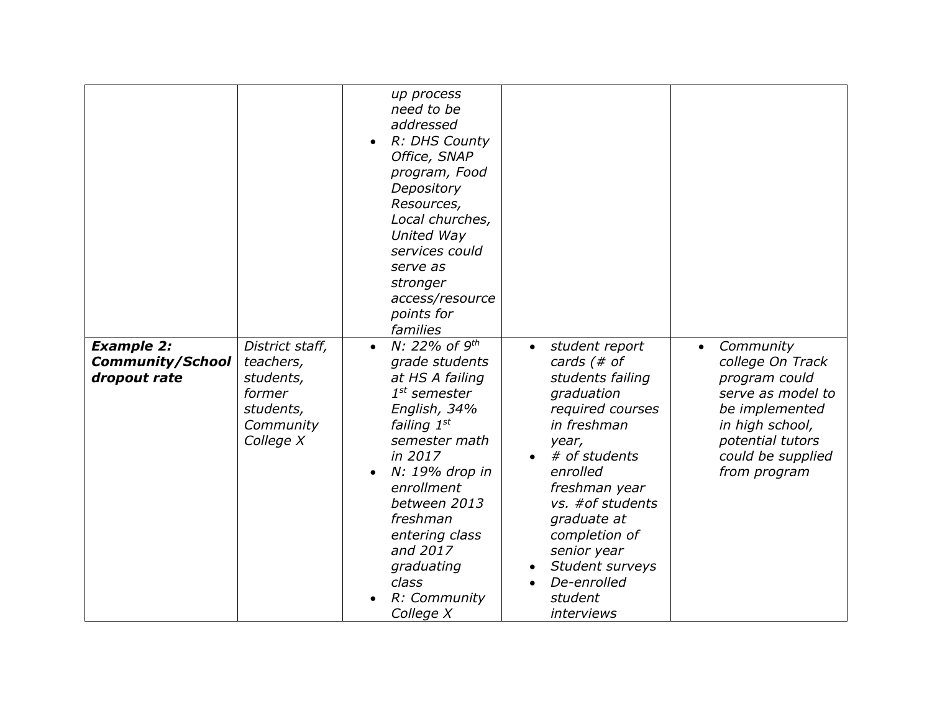|                                                              |                                                                                            | up process<br>need to be<br>addressed<br>R: DHS County<br>Office, SNAP<br>program, Food<br>Depository<br>Resources,<br>Local churches,<br>United Way<br>services could<br>serve as<br>stronger<br>access/resource<br>points for<br>families                                                        |                                                                                                                                                                                                                                                                                                              |                                                                                                                                                                                |
|--------------------------------------------------------------|--------------------------------------------------------------------------------------------|----------------------------------------------------------------------------------------------------------------------------------------------------------------------------------------------------------------------------------------------------------------------------------------------------|--------------------------------------------------------------------------------------------------------------------------------------------------------------------------------------------------------------------------------------------------------------------------------------------------------------|--------------------------------------------------------------------------------------------------------------------------------------------------------------------------------|
| <b>Example 2:</b><br><b>Community/School</b><br>dropout rate | District staff,<br>teachers,<br>students,<br>former<br>students,<br>Community<br>College X | N: 22% of $9^{th}$<br>$\bullet$<br>grade students<br>at HS A failing<br>$1^{st}$ semester<br>English, 34%<br>failing 1st<br>semester math<br>in 2017<br>N: 19% drop in<br>enrollment<br>between 2013<br>freshman<br>entering class<br>and 2017<br>graduating<br>class<br>R: Community<br>College X | student report<br>$\bullet$<br>cards $#$ of<br>students failing<br>graduation<br>required courses<br>in freshman<br>year,<br># of students<br>enrolled<br>freshman year<br>vs. #of students<br>graduate at<br>completion of<br>senior year<br>Student surveys<br>De-enrolled<br>student<br><i>interviews</i> | Community<br>$\bullet$<br>college On Track<br>program could<br>serve as model to<br>be implemented<br>in high school,<br>potential tutors<br>could be supplied<br>from program |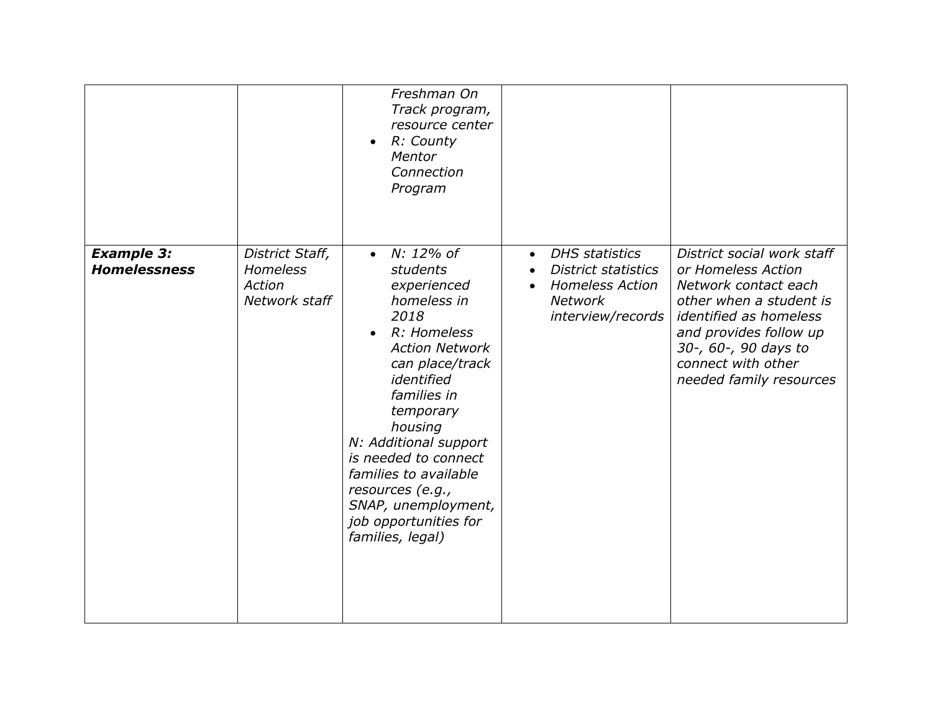|                                          |                                                               | Freshman On<br>Track program,<br>resource center<br>R: County<br>$\bullet$<br>Mentor<br>Connection<br>Program                                                                                                                                                                                                                                                   |                                                                                                                                   |                                                                                                                                                                                                                                         |
|------------------------------------------|---------------------------------------------------------------|-----------------------------------------------------------------------------------------------------------------------------------------------------------------------------------------------------------------------------------------------------------------------------------------------------------------------------------------------------------------|-----------------------------------------------------------------------------------------------------------------------------------|-----------------------------------------------------------------------------------------------------------------------------------------------------------------------------------------------------------------------------------------|
| <b>Example 3:</b><br><b>Homelessness</b> | District Staff,<br><b>Homeless</b><br>Action<br>Network staff | • $N: 12\%$ of<br>students<br>experienced<br>homeless in<br>2018<br>R: Homeless<br>$\bullet$<br><b>Action Network</b><br>can place/track<br>identified<br>families in<br>temporary<br>housing<br>N: Additional support<br>is needed to connect<br>families to available<br>resources (e.g.,<br>SNAP, unemployment,<br>job opportunities for<br>families, legal) | <b>DHS</b> statistics<br>$\bullet$<br><b>District statistics</b><br><b>Homeless Action</b><br><b>Network</b><br>interview/records | District social work staff<br>or Homeless Action<br>Network contact each<br>other when a student is<br><i>identified as homeless</i><br>and provides follow up<br>30-, 60-, 90 days to<br>connect with other<br>needed family resources |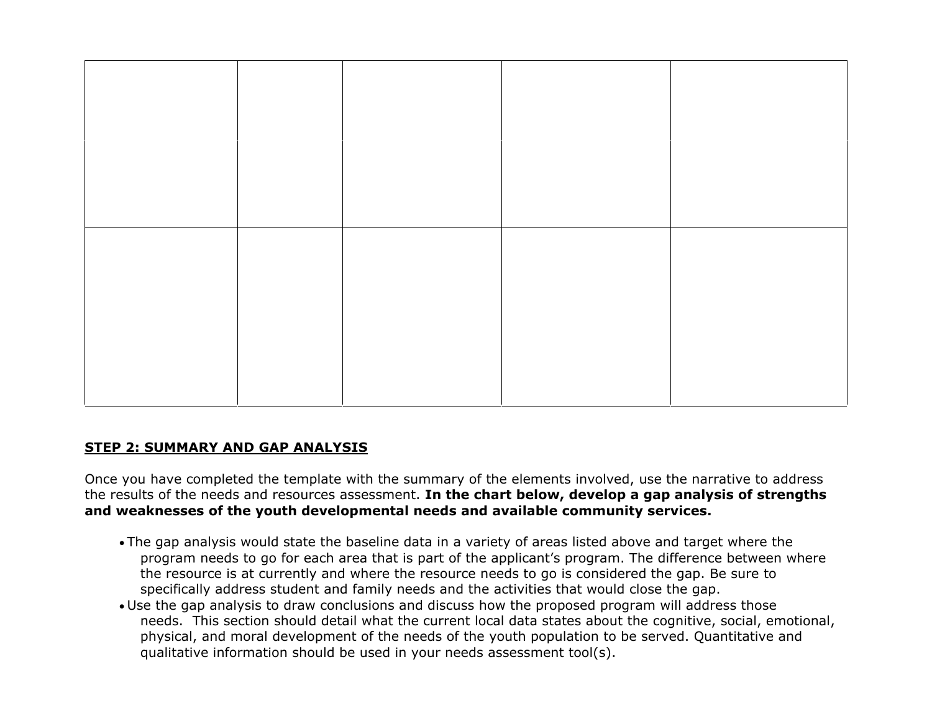

### **STEP 2: SUMMARY AND GAP ANALYSIS**

Once you have completed the template with the summary of the elements involved, use the narrative to address the results of the needs and resources assessment. **In the chart below, develop a gap analysis of strengths and weaknesses of the youth developmental needs and available community services.**

- The gap analysis would state the baseline data in a variety of areas listed above and target where the program needs to go for each area that is part of the applicant's program. The difference between where the resource is at currently and where the resource needs to go is considered the gap. Be sure to specifically address student and family needs and the activities that would close the gap.
- Use the gap analysis to draw conclusions and discuss how the proposed program will address those needs. This section should detail what the current local data states about the cognitive, social, emotional, physical, and moral development of the needs of the youth population to be served. Quantitative and qualitative information should be used in your needs assessment tool(s).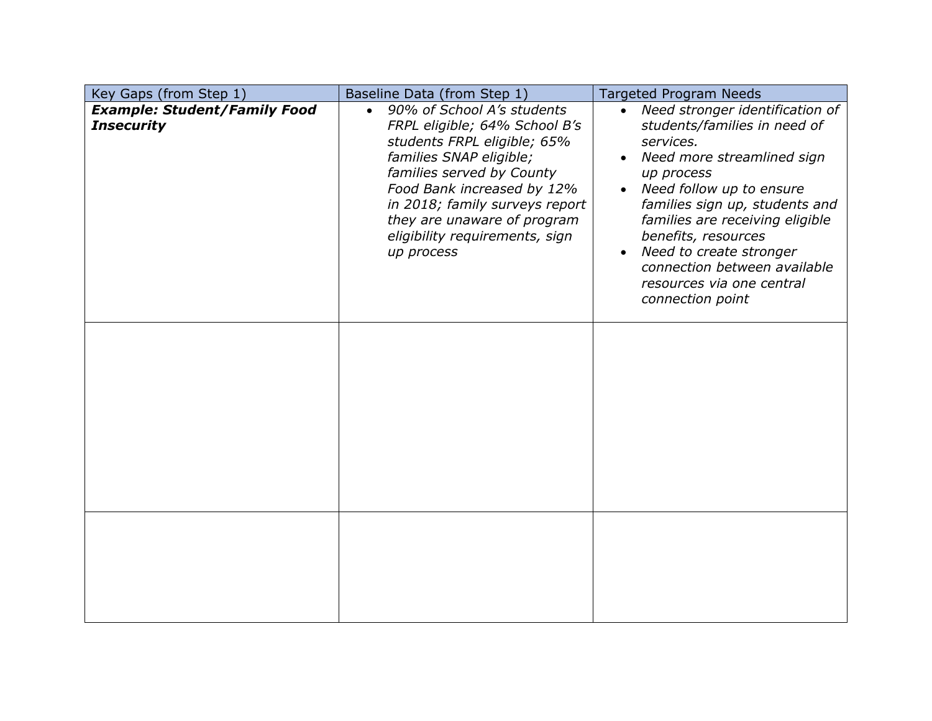| Key Gaps (from Step 1)                                   | Baseline Data (from Step 1)                                                                                                                                                                                                                                                                                    | <b>Targeted Program Needs</b>                                                                                                                                                                                                                                                                                                                                                 |
|----------------------------------------------------------|----------------------------------------------------------------------------------------------------------------------------------------------------------------------------------------------------------------------------------------------------------------------------------------------------------------|-------------------------------------------------------------------------------------------------------------------------------------------------------------------------------------------------------------------------------------------------------------------------------------------------------------------------------------------------------------------------------|
| <b>Example: Student/Family Food</b><br><b>Insecurity</b> | 90% of School A's students<br>$\bullet$<br>FRPL eligible; 64% School B's<br>students FRPL eligible; 65%<br>families SNAP eligible;<br>families served by County<br>Food Bank increased by 12%<br>in 2018; family surveys report<br>they are unaware of program<br>eligibility requirements, sign<br>up process | • Need stronger identification of<br>students/families in need of<br>services.<br>Need more streamlined sign<br>up process<br>• Need follow up to ensure<br>families sign up, students and<br>families are receiving eligible<br>benefits, resources<br>Need to create stronger<br>$\bullet$<br>connection between available<br>resources via one central<br>connection point |
|                                                          |                                                                                                                                                                                                                                                                                                                |                                                                                                                                                                                                                                                                                                                                                                               |
|                                                          |                                                                                                                                                                                                                                                                                                                |                                                                                                                                                                                                                                                                                                                                                                               |